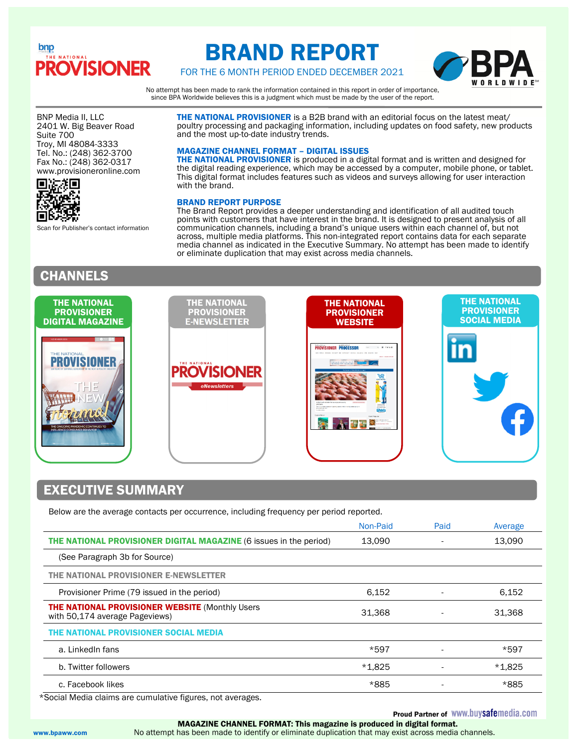## bnp **OVISIONER**

# BRAND REPORT

FOR THE 6 MONTH PERIOD ENDED DECEMBER 2021

No attempt has been made to rank the information contained in this report in order of importance, since BPA Worldwide believes this is a judgment which must be made by the user of the report.

and the most up-to-date industry trends.

with the brand.

BRAND REPORT PURPOSE

MAGAZINE CHANNEL FORMAT – DIGITAL ISSUES

**THE NATIONAL PROVISIONER** is a B2B brand with an editorial focus on the latest meat/ poultry processing and packaging information, including updates on food safety, new products

**THE NATIONAL PROVISIONER** is produced in a digital format and is written and designed for the digital reading experience, which may be accessed by a computer, mobile phone, or tablet. This digital format includes features such as videos and surveys allowing for user interaction

The Brand Report provides a deeper understanding and identification of all audited touch points with customers that have interest in the brand. It is designed to present analysis of all communication channels, including a brand's unique users within each channel of, but not across, multiple media platforms. This non-integrated report contains data for each separate media channel as indicated in the Executive Summary. No attempt has been made to identify

BNP Media II, LLC 2401 W. Big Beaver Road Suite 700 Troy, MI 48084-3333 Tel. No.: (248) 362-3700 Fax No.: (248) 362-0317 www.provisioneronline.com



Scan for Publisher's contact information

## CHANNELS



or eliminate duplication that may exist across media channels.

### EXECUTIVE SUMMARY

Below are the average contacts per occurrence, including frequency per period reported.

|                                                                                           | Non-Paid | Paid | Average  |
|-------------------------------------------------------------------------------------------|----------|------|----------|
| THE NATIONAL PROVISIONER DIGITAL MAGAZINE (6 issues in the period)                        | 13,090   |      | 13,090   |
| (See Paragraph 3b for Source)                                                             |          |      |          |
| THE NATIONAL PROVISIONER E-NEWSLETTER                                                     |          |      |          |
| Provisioner Prime (79 issued in the period)                                               | 6,152    |      | 6,152    |
| <b>THE NATIONAL PROVISIONER WEBSITE (Monthly Users)</b><br>with 50,174 average Pageviews) | 31,368   |      | 31,368   |
| THE NATIONAL PROVISIONER SOCIAL MEDIA                                                     |          |      |          |
| a. LinkedIn fans                                                                          | *597     |      | *597     |
| b. Twitter followers                                                                      | $*1,825$ |      | $*1,825$ |
| c. Facebook likes                                                                         | *885     |      | *885     |
|                                                                                           |          |      |          |

\*Social Media claims are cumulative figures, not averages.

### **Proud Partner of WWW.buysafemedia.com**

 MAGAZINE CHANNEL FORMAT: This magazine is produced in digital format. www.bpaww.com No attempt has been made to identify or eliminate duplication that may exist across media channels.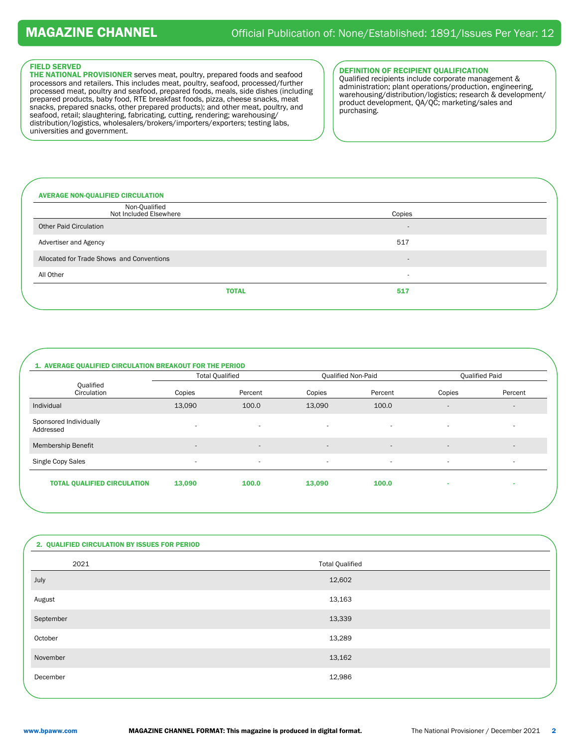#### FIELD SERVED

THE NATIONAL PROVISIONER serves meat, poultry, prepared foods and seafood processors and retailers. This includes meat, poultry, seafood, processed/further processed meat, poultry and seafood, prepared foods, meals, side dishes (including prepared products, baby food, RTE breakfast foods, pizza, cheese snacks, meat snacks, prepared snacks, other prepared products); and other meat, poultry, and seafood, retail; slaughtering, fabricating, cutting, rendering; warehousing/ distribution/logistics, wholesalers/brokers/importers/exporters; testing labs, universities and government.

#### DEFINITION OF RECIPIENT QUALIFICATION

Qualified recipients include corporate management & administration; plant operations/production, engineering, warehousing/distribution/logistics; research & development/ product development, QA/QC; marketing/sales and purchasing.

| <b>AVERAGE NON-QUALIFIED CIRCULATION</b>  |                          |  |
|-------------------------------------------|--------------------------|--|
| Non-Qualified<br>Not Included Elsewhere   | Copies                   |  |
| <b>Other Paid Circulation</b>             | $\overline{\phantom{a}}$ |  |
| Advertiser and Agency                     | 517                      |  |
| Allocated for Trade Shows and Conventions | $\overline{\phantom{a}}$ |  |
| All Other                                 | $\overline{\phantom{a}}$ |  |
| <b>TOTAL</b>                              | 517                      |  |
|                                           |                          |  |

### 1. AVERAGE QUALIFIED CIRCULATION BREAKOUT FOR THE PERIOD

|                                     | <b>Total Qualified</b>   |                          |                          | <b>Qualified Non-Paid</b> |                          | <b>Qualified Paid</b>    |  |
|-------------------------------------|--------------------------|--------------------------|--------------------------|---------------------------|--------------------------|--------------------------|--|
| Qualified<br>Circulation            | Copies                   | Percent                  | Copies                   | Percent                   | Copies                   | Percent                  |  |
| Individual                          | 13,090                   | 100.0                    | 13,090                   | 100.0                     | $\overline{\phantom{a}}$ | $\overline{\phantom{a}}$ |  |
| Sponsored Individually<br>Addressed | $\overline{\phantom{a}}$ | $\overline{\phantom{a}}$ | $\overline{\phantom{a}}$ | $\overline{\phantom{a}}$  | $\overline{\phantom{a}}$ |                          |  |
| <b>Membership Benefit</b>           | $\overline{\phantom{a}}$ | $\sim$                   | $\sim$                   | $\overline{a}$            | $\overline{a}$           | $\sim$                   |  |
| Single Copy Sales                   | ۰.                       | ۰.                       | $\sim$                   | $\sim$                    | ٠                        | $\sim$                   |  |
| <b>TOTAL QUALIFIED CIRCULATION</b>  | 13,090                   | 100.0                    | 13,090                   | 100.0                     |                          |                          |  |
|                                     |                          |                          |                          |                           |                          |                          |  |

| 2. QUALIFIED CIRCULATION BY ISSUES FOR PERIOD |                        |  |
|-----------------------------------------------|------------------------|--|
| 2021                                          | <b>Total Qualified</b> |  |
| July                                          | 12,602                 |  |
| August                                        | 13,163                 |  |
| September                                     | 13,339                 |  |
| October                                       | 13,289                 |  |
| November                                      | 13,162                 |  |
| December                                      | 12,986                 |  |
|                                               |                        |  |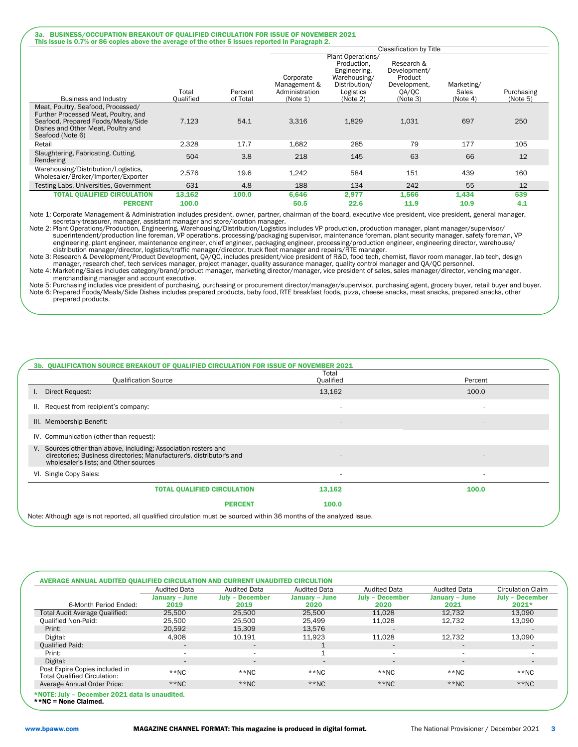#### 3a. BUSINESS/OCCUPATION BREAKOUT OF QUALIFIED CIRCULATION FOR ISSUE OF NOVEMBER 2021 This issue is 0.7% or 86 copies above the average of the other 5 issues reported in Paragraph 2.

|                                                                                                                                                                            |           |          |                                             |                                                                                                | <b>Classification by Title</b>                                 |                     |            |
|----------------------------------------------------------------------------------------------------------------------------------------------------------------------------|-----------|----------|---------------------------------------------|------------------------------------------------------------------------------------------------|----------------------------------------------------------------|---------------------|------------|
|                                                                                                                                                                            | Total     | Percent  | Corporate<br>Management &<br>Administration | Plant Operations/<br>Production.<br>Engineering,<br>Warehousing/<br>Distribution/<br>Logistics | Research &<br>Development/<br>Product<br>Development,<br>QA/QC | Marketing/<br>Sales | Purchasing |
| <b>Business and Industry</b>                                                                                                                                               | Oualified | of Total | (Note 1)                                    | (Note 2)                                                                                       | (Note 3)                                                       | (Note 4)            | (Note 5)   |
| Meat, Poultry, Seafood, Processed/<br>Further Processed Meat, Poultry, and<br>Seafood, Prepared Foods/Meals/Side<br>Dishes and Other Meat, Poultry and<br>Seafood (Note 6) | 7,123     | 54.1     | 3,316                                       | 1,829                                                                                          | 1.031                                                          | 697                 | 250        |
| Retail                                                                                                                                                                     | 2,328     | 17.7     | 1,682                                       | 285                                                                                            | 79                                                             | 177                 | 105        |
| Slaughtering, Fabricating, Cutting,<br>Rendering                                                                                                                           | 504       | 3.8      | 218                                         | 145                                                                                            | 63                                                             | 66                  | 12         |
| Warehousing/Distribution/Logistics,<br>Wholesaler/Broker/Importer/Exporter                                                                                                 | 2,576     | 19.6     | 1,242                                       | 584                                                                                            | 151                                                            | 439                 | 160        |
| Testing Labs, Universities, Government                                                                                                                                     | 631       | 4.8      | 188                                         | 134                                                                                            | 242                                                            | 55                  | 12         |
| <b>TOTAL QUALIFIED CIRCULATION</b>                                                                                                                                         | 13,162    | 100.0    | 6,646                                       | 2,977                                                                                          | 1,566                                                          | 1,434               | 539        |
| <b>PERCENT</b>                                                                                                                                                             | 100.0     |          | 50.5                                        | 22.6                                                                                           | 11.9                                                           | 10.9                | 4.1        |

Note 1: Corporate Management & Administration includes president, owner, partner, chairman of the board, executive vice president, vice president, general manager, secretary-treasurer, manager, assistant manager and store/location manager.

Note 2: Plant Operations/Production, Engineering, Warehousing/Distribution/Logistics includes VP production, production manager, plant manager/supervisor/<br>superintendent/production line foreman, VP operations, processing/p

Note 3: Research & Development/Product Development, QA/QC, includes president/vice president of R&D, food tech, chemist, flavor room manager, lab tech, design

manager, research chef, tech services manager, project manager, quality assurance manager, quality control manager and QA/QC personnel. Note 4: Marketing/Sales includes category/brand/product manager, marketing director/manager, vice president of sales, sales manager/director, vending manager,

merchandising manager and account executive.<br>Note 5: Purchasing includes vice president of purchasing, purchasing or procurement director/manager/supervisor, purchasing agent, grocery buyer, retail buyer and buyer.<br>Note 6: prepared products.

#### 3b. QUALIFICATION SOURCE BREAKOUT OF QUALIFIED CIRCULATION FOR ISSUE OF NOVEMBER 2021

| <b>Qualification Source</b>                                                                                                                                                      | Total<br><b>Qualified</b> | Percent                  |  |  |  |
|----------------------------------------------------------------------------------------------------------------------------------------------------------------------------------|---------------------------|--------------------------|--|--|--|
| Direct Request:                                                                                                                                                                  | 13,162                    | 100.0                    |  |  |  |
| Request from recipient's company:<br>Ш.                                                                                                                                          |                           |                          |  |  |  |
| III. Membership Benefit:                                                                                                                                                         | $\overline{a}$            | $\overline{\phantom{a}}$ |  |  |  |
| IV. Communication (other than request):                                                                                                                                          | ۰                         | $\overline{\phantom{a}}$ |  |  |  |
| V. Sources other than above, including: Association rosters and<br>directories: Business directories: Manufacturer's, distributor's and<br>wholesaler's lists; and Other sources |                           |                          |  |  |  |
| VI. Single Copy Sales:                                                                                                                                                           | ۰.                        | ٠                        |  |  |  |
| <b>TOTAL QUALIFIED CIRCULATION</b>                                                                                                                                               | 13,162                    | 100.0                    |  |  |  |
| <b>PERCENT</b>                                                                                                                                                                   | 100.0                     |                          |  |  |  |
| let a through ago is not reperted all qualified eiroulation must be coureed within 26 menths of the anglyzed issue.                                                              |                           |                          |  |  |  |

Note: Although age is not reported, all qualified circulation must be sourced within 36 months of the analyzed issue.

|                                                                       | <b>Audited Data</b>      | <b>Audited Data</b>      | <b>Audited Data</b>      | <b>Audited Data</b>      | <b>Audited Data</b>      | <b>Circulation Claim</b> |
|-----------------------------------------------------------------------|--------------------------|--------------------------|--------------------------|--------------------------|--------------------------|--------------------------|
|                                                                       | January - June           | <b>July - December</b>   | January - June           | <b>July - December</b>   | January – June           | <b>July - December</b>   |
| 6-Month Period Ended:                                                 | 2019                     | 2019                     | 2020                     | 2020                     | 2021                     | $2021*$                  |
| Total Audit Average Qualified:                                        | 25.500                   | 25.500                   | 25,500                   | 11.028                   | 12.732                   | 13,090                   |
| <b>Qualified Non-Paid:</b>                                            | 25,500                   | 25,500                   | 25.499                   | 11,028                   | 12,732                   | 13,090                   |
| Print:                                                                | 20,592                   | 15,309                   | 13,576                   | $\overline{a}$           |                          |                          |
| Digital:                                                              | 4,908                    | 10,191                   | 11.923                   | 11,028                   | 12.732                   | 13,090                   |
| <b>Qualified Paid:</b>                                                | $\overline{\phantom{a}}$ | $\overline{\phantom{a}}$ |                          | $\overline{\phantom{a}}$ | $\overline{\phantom{a}}$ |                          |
| Print:                                                                | ٠                        | ۰.                       |                          | $\sim$                   |                          |                          |
| Digital:                                                              | $\overline{\phantom{a}}$ | $\overline{\phantom{a}}$ | $\overline{\phantom{a}}$ | $\overline{\phantom{a}}$ | $\overline{a}$           | $\overline{\phantom{a}}$ |
| Post Expire Copies included in<br><b>Total Qualified Circulation:</b> | $**NC$                   | $*$ NC                   | $*$ NC                   | $*$ NC                   | $*$ NC                   | $**NC$                   |
| Average Annual Order Price:                                           | $**NC$                   | $*$ NC                   | $*$ NC                   | $**NC$                   | $**NC$                   | $*$ NC                   |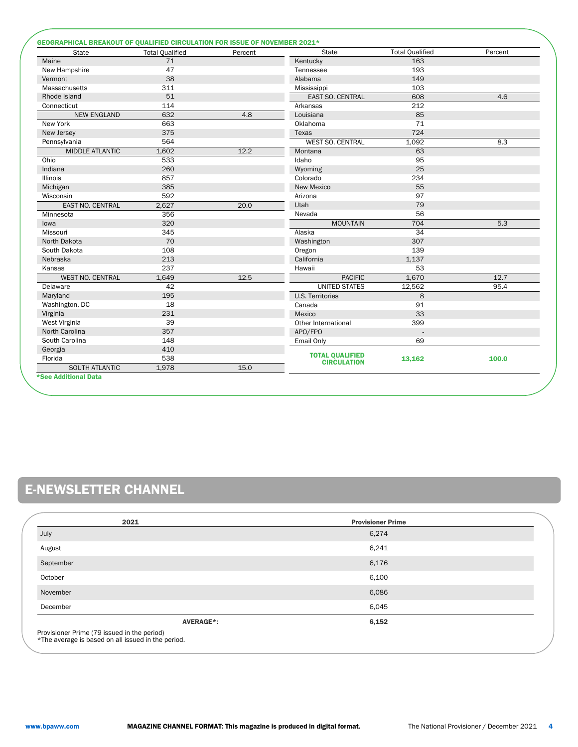| State                   | <b>Total Qualified</b> | Percent | State                   | <b>Total Qualified</b> | Percent |
|-------------------------|------------------------|---------|-------------------------|------------------------|---------|
| Maine                   | 71                     |         | Kentucky                | 163                    |         |
| New Hampshire           | 47                     |         | Tennessee               | 193                    |         |
| Vermont                 | 38                     |         | Alabama                 | 149                    |         |
| Massachusetts           | 311                    |         | Mississippi             | 103                    |         |
| Rhode Island            | 51                     |         | <b>EAST SO. CENTRAL</b> | 608                    | 4.6     |
| Connecticut             | 114                    |         | Arkansas                | 212                    |         |
| <b>NEW ENGLAND</b>      | 632                    | 4.8     | Louisiana               | 85                     |         |
| New York                | 663                    |         | Oklahoma                | 71                     |         |
| New Jersey              | 375                    |         | Texas                   | 724                    |         |
| Pennsylvania            | 564                    |         | <b>WEST SO. CENTRAL</b> | 1.092                  | 8.3     |
| <b>MIDDLE ATLANTIC</b>  | 1.602                  | 12.2    | Montana                 | 63                     |         |
| Ohio                    | 533                    |         | Idaho                   | 95                     |         |
| Indiana                 | 260                    |         | Wyoming                 | 25                     |         |
| Illinois                | 857                    |         | Colorado                | 234                    |         |
| Michigan                | 385                    |         | New Mexico              | 55                     |         |
| Wisconsin               | 592                    |         | Arizona                 | 97                     |         |
| <b>EAST NO. CENTRAL</b> | 2,627                  | 20.0    | Utah                    | 79                     |         |
| Minnesota               | 356                    |         | Nevada                  | 56                     |         |
| lowa                    | 320                    |         | <b>MOUNTAIN</b>         | 704                    | 5.3     |
| Missouri                | 345                    |         | Alaska                  | 34                     |         |
| North Dakota            | 70                     |         | Washington              | 307                    |         |
| South Dakota            | 108                    |         | Oregon                  | 139                    |         |
| Nebraska                | 213                    |         | California              | 1,137                  |         |
| Kansas                  | 237                    |         | Hawaii                  | 53                     |         |
| <b>WEST NO. CENTRAL</b> | 1,649                  | 12.5    | <b>PACIFIC</b>          | 1,670                  | 12.7    |
| Delaware                | 42                     |         | <b>UNITED STATES</b>    | 12,562                 | 95.4    |
| Maryland                | 195                    |         | <b>U.S. Territories</b> | 8                      |         |
| Washington, DC          | 18                     |         | Canada                  | 91                     |         |
| Virginia                | 231                    |         | Mexico                  | 33                     |         |
| West Virginia           | 39                     |         | Other International     | 399                    |         |
| North Carolina          | 357                    |         | APO/FPO                 |                        |         |
| South Carolina          | 148                    |         | Email Only              | 69                     |         |
| Georgia                 | 410                    |         |                         |                        |         |
| Florida                 | 538                    |         | <b>TOTAL QUALIFIED</b>  | 13,162                 | 100.0   |
| <b>SOUTH ATLANTIC</b>   | 1,978                  | 15.0    | <b>CIRCULATION</b>      |                        |         |

# E-NEWSLETTER CHANNEL

| 2021                                                                                              | <b>Provisioner Prime</b>  |
|---------------------------------------------------------------------------------------------------|---------------------------|
| July                                                                                              | 6,274                     |
| August                                                                                            | 6,241                     |
| September                                                                                         | 6,176                     |
| October                                                                                           | 6,100                     |
| November                                                                                          | 6,086                     |
| December                                                                                          | 6,045                     |
|                                                                                                   | 6,152<br><b>AVERAGE*:</b> |
| Provisioner Prime (79 issued in the period)<br>*The average is based on all issued in the period. |                           |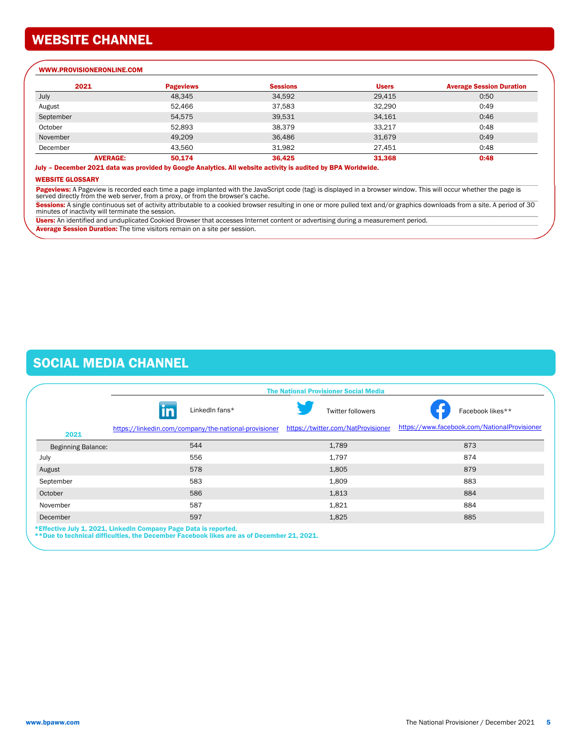## WEBSITE CHANNEL

#### WWW.PROVISIONERONLINE.COM

| 2021            | <b>Pageviews</b> | <b>Sessions</b> | <b>Users</b> | <b>Average Session Duration</b> |
|-----------------|------------------|-----------------|--------------|---------------------------------|
| July            | 48,345           | 34,592          | 29,415       | 0:50                            |
| August          | 52.466           | 37.583          | 32,290       | 0:49                            |
| September       | 54.575           | 39,531          | 34,161       | 0:46                            |
| October         | 52,893           | 38.379          | 33,217       | 0:48                            |
| November        | 49.209           | 36,486          | 31.679       | 0:49                            |
| December        | 43,560           | 31,982          | 27,451       | 0:48                            |
| <b>AVERAGE:</b> | 50.174           | 36,425          | 31,368       | 0:48                            |

July – December 2021 data was provided by Google Analytics. All website activity is audited by BPA Worldwide.

#### WEBSITE GLOSSARY

Pageviews: A Pageview is recorded each time a page implanted with the JavaScript code (tag) is displayed in a browser window. This will occur whether the page is served directly from the web server, from a proxy, or from the browser's cache.

**Sessions:** A single continuous set of activity attributable to a cookied browser resulting in one or more pulled text and/or graphics downloads from a site. A period of 30<br>minutes of inactivity will terminate the session.

Users: An identified and unduplicated Cookied Browser that accesses Internet content or advertising during a measurement period. Average Session Duration: The time visitors remain on a site per session.

## SOCIAL MEDIA CHANNEL

|                           | <b>The National Provisioner Social Media</b>                     |                                                                                           |                                    |                                              |  |  |  |
|---------------------------|------------------------------------------------------------------|-------------------------------------------------------------------------------------------|------------------------------------|----------------------------------------------|--|--|--|
|                           | in                                                               | LinkedIn fans*                                                                            | <b>Twitter followers</b>           | Facebook likes**                             |  |  |  |
| 2021                      |                                                                  | https://linkedin.com/company/the-national-provisioner                                     | https://twitter.com/NatProvisioner | https://www.facebook.com/NationalProvisioner |  |  |  |
| <b>Beginning Balance:</b> |                                                                  | 544                                                                                       | 1,789                              | 873                                          |  |  |  |
| July                      |                                                                  | 556                                                                                       | 1.797                              | 874                                          |  |  |  |
| August                    |                                                                  | 578                                                                                       | 1,805                              | 879                                          |  |  |  |
| September                 |                                                                  | 583                                                                                       | 1,809                              | 883                                          |  |  |  |
| October                   |                                                                  | 586                                                                                       | 1,813                              | 884                                          |  |  |  |
| November                  |                                                                  | 587                                                                                       | 1,821                              | 884                                          |  |  |  |
| December                  |                                                                  | 597                                                                                       | 1,825                              | 885                                          |  |  |  |
|                           | *Effective July 1, 2021, LinkedIn Company Page Data is reported. | **Due to technical difficulties, the December Facebook likes are as of December 21, 2021. |                                    |                                              |  |  |  |